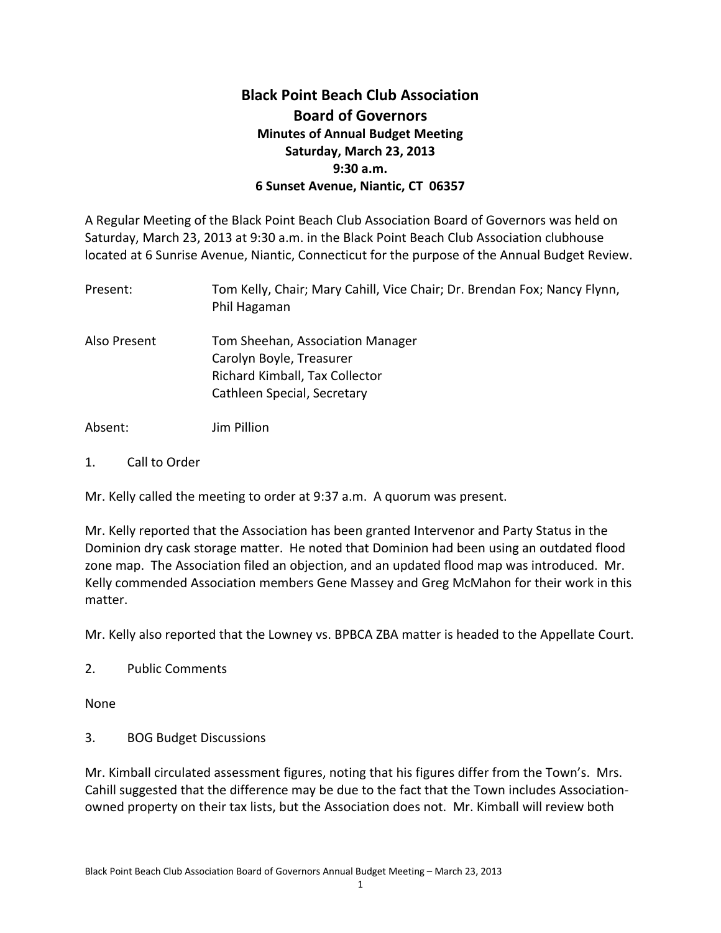## **Black Point Beach Club Association Board of Governors Minutes of Annual Budget Meeting Saturday, March 23, 2013 9:30 a.m. 6 Sunset Avenue, Niantic, CT 06357**

A Regular Meeting of the Black Point Beach Club Association Board of Governors was held on Saturday, March 23, 2013 at 9:30 a.m. in the Black Point Beach Club Association clubhouse located at 6 Sunrise Avenue, Niantic, Connecticut for the purpose of the Annual Budget Review.

| Present:     | Tom Kelly, Chair; Mary Cahill, Vice Chair; Dr. Brendan Fox; Nancy Flynn,<br>Phil Hagaman                                      |
|--------------|-------------------------------------------------------------------------------------------------------------------------------|
| Also Present | Tom Sheehan, Association Manager<br>Carolyn Boyle, Treasurer<br>Richard Kimball, Tax Collector<br>Cathleen Special, Secretary |
| Absent:      | Jim Pillion                                                                                                                   |

1. Call to Order

Mr. Kelly called the meeting to order at 9:37 a.m. A quorum was present.

Mr. Kelly reported that the Association has been granted Intervenor and Party Status in the Dominion dry cask storage matter. He noted that Dominion had been using an outdated flood zone map. The Association filed an objection, and an updated flood map was introduced. Mr. Kelly commended Association members Gene Massey and Greg McMahon for their work in this matter.

Mr. Kelly also reported that the Lowney vs. BPBCA ZBA matter is headed to the Appellate Court.

2. Public Comments

None

3. BOG Budget Discussions

Mr. Kimball circulated assessment figures, noting that his figures differ from the Town's. Mrs. Cahill suggested that the difference may be due to the fact that the Town includes Associationowned property on their tax lists, but the Association does not. Mr. Kimball will review both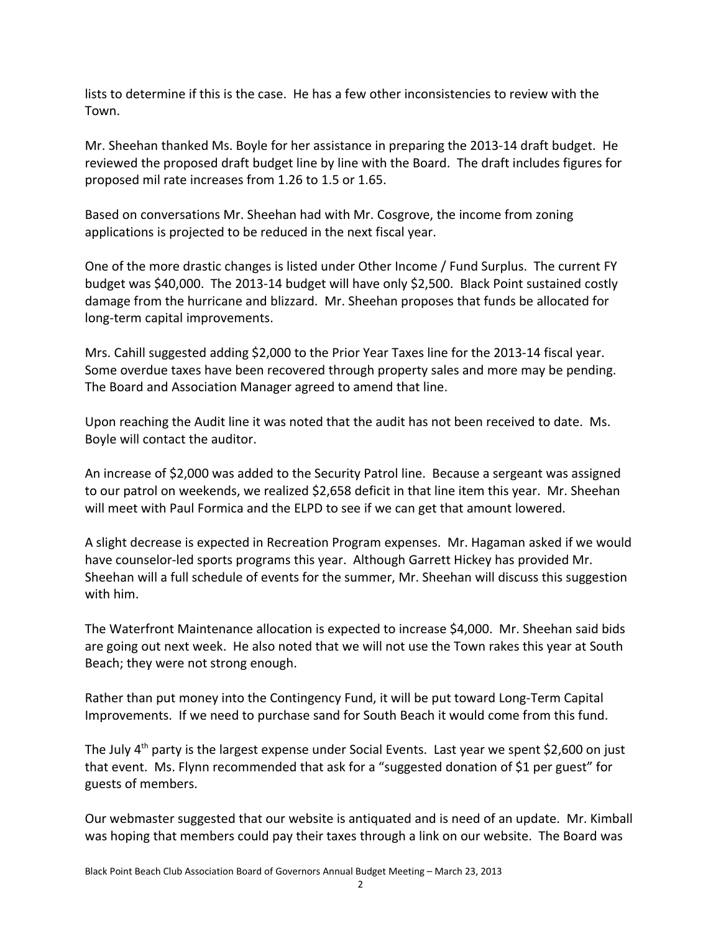lists to determine if this is the case. He has a few other inconsistencies to review with the Town.

Mr. Sheehan thanked Ms. Boyle for her assistance in preparing the 2013-14 draft budget. He reviewed the proposed draft budget line by line with the Board. The draft includes figures for proposed mil rate increases from 1.26 to 1.5 or 1.65.

Based on conversations Mr. Sheehan had with Mr. Cosgrove, the income from zoning applications is projected to be reduced in the next fiscal year.

One of the more drastic changes is listed under Other Income / Fund Surplus. The current FY budget was \$40,000. The 2013-14 budget will have only \$2,500. Black Point sustained costly damage from the hurricane and blizzard. Mr. Sheehan proposes that funds be allocated for long-term capital improvements.

Mrs. Cahill suggested adding \$2,000 to the Prior Year Taxes line for the 2013-14 fiscal year. Some overdue taxes have been recovered through property sales and more may be pending. The Board and Association Manager agreed to amend that line.

Upon reaching the Audit line it was noted that the audit has not been received to date. Ms. Boyle will contact the auditor.

An increase of \$2,000 was added to the Security Patrol line. Because a sergeant was assigned to our patrol on weekends, we realized \$2,658 deficit in that line item this year. Mr. Sheehan will meet with Paul Formica and the ELPD to see if we can get that amount lowered.

A slight decrease is expected in Recreation Program expenses. Mr. Hagaman asked if we would have counselor-led sports programs this year. Although Garrett Hickey has provided Mr. Sheehan will a full schedule of events for the summer, Mr. Sheehan will discuss this suggestion with him.

The Waterfront Maintenance allocation is expected to increase \$4,000. Mr. Sheehan said bids are going out next week. He also noted that we will not use the Town rakes this year at South Beach; they were not strong enough.

Rather than put money into the Contingency Fund, it will be put toward Long-Term Capital Improvements. If we need to purchase sand for South Beach it would come from this fund.

The July 4<sup>th</sup> party is the largest expense under Social Events. Last year we spent \$2,600 on just that event. Ms. Flynn recommended that ask for a "suggested donation of \$1 per guest" for guests of members.

Our webmaster suggested that our website is antiquated and is need of an update. Mr. Kimball was hoping that members could pay their taxes through a link on our website. The Board was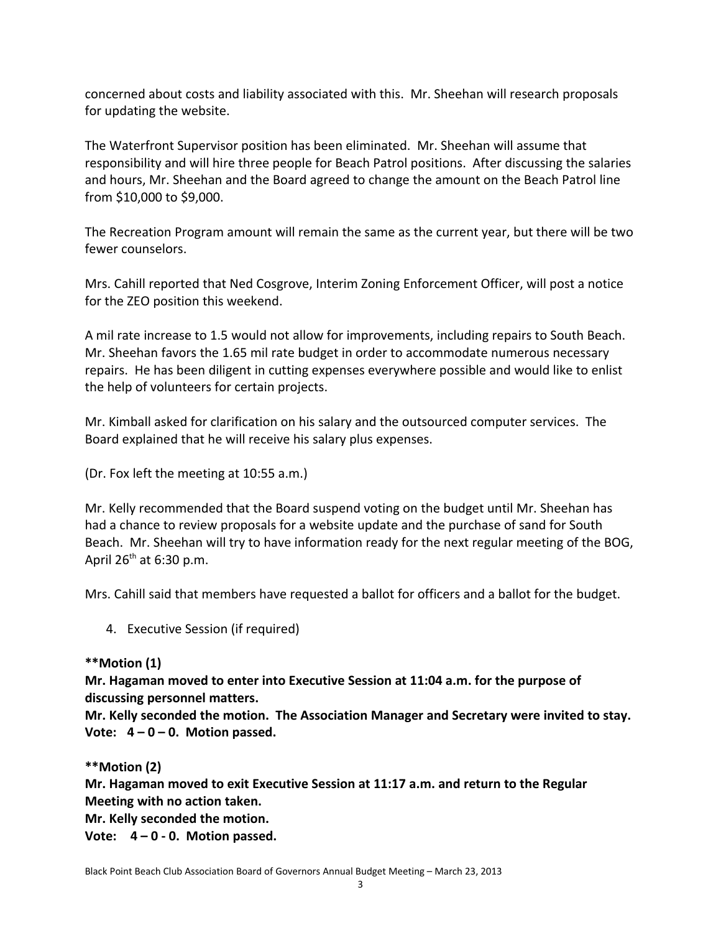concerned about costs and liability associated with this. Mr. Sheehan will research proposals for updating the website.

The Waterfront Supervisor position has been eliminated. Mr. Sheehan will assume that responsibility and will hire three people for Beach Patrol positions. After discussing the salaries and hours, Mr. Sheehan and the Board agreed to change the amount on the Beach Patrol line from \$10,000 to \$9,000.

The Recreation Program amount will remain the same as the current year, but there will be two fewer counselors.

Mrs. Cahill reported that Ned Cosgrove, Interim Zoning Enforcement Officer, will post a notice for the ZEO position this weekend.

A mil rate increase to 1.5 would not allow for improvements, including repairs to South Beach. Mr. Sheehan favors the 1.65 mil rate budget in order to accommodate numerous necessary repairs. He has been diligent in cutting expenses everywhere possible and would like to enlist the help of volunteers for certain projects.

Mr. Kimball asked for clarification on his salary and the outsourced computer services. The Board explained that he will receive his salary plus expenses.

(Dr. Fox left the meeting at 10:55 a.m.)

Mr. Kelly recommended that the Board suspend voting on the budget until Mr. Sheehan has had a chance to review proposals for a website update and the purchase of sand for South Beach. Mr. Sheehan will try to have information ready for the next regular meeting of the BOG, April  $26<sup>th</sup>$  at 6:30 p.m.

Mrs. Cahill said that members have requested a ballot for officers and a ballot for the budget.

4. Executive Session (if required)

**\*\*Motion (1)**

**Mr. Hagaman moved to enter into Executive Session at 11:04 a.m. for the purpose of discussing personnel matters.** 

**Mr. Kelly seconded the motion. The Association Manager and Secretary were invited to stay. Vote: 4 – 0 – 0. Motion passed.**

## **\*\*Motion (2)**

**Mr. Hagaman moved to exit Executive Session at 11:17 a.m. and return to the Regular Meeting with no action taken.**

**Mr. Kelly seconded the motion.**

**Vote: 4 – 0 - 0. Motion passed.**